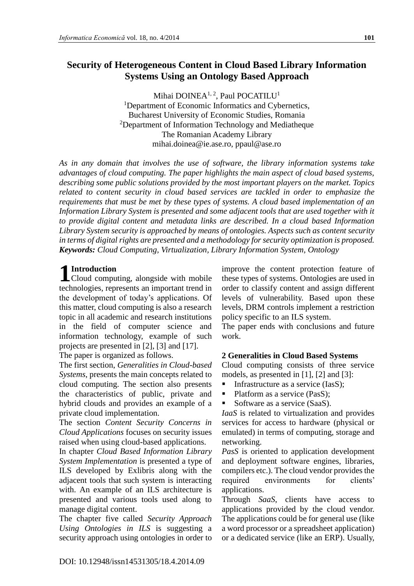## **Security of Heterogeneous Content in Cloud Based Library Information Systems Using an Ontology Based Approach**

Mihai DOINE $A^{1, 2}$ , Paul POCATILU<sup>1</sup> <sup>1</sup>Department of Economic Informatics and Cybernetics, Bucharest University of Economic Studies, Romania <sup>2</sup>Department of Information Technology and Mediatheque The Romanian Academy Library mihai.doinea@ie.ase.ro, ppaul@ase.ro

*As in any domain that involves the use of software, the library information systems take advantages of cloud computing. The paper highlights the main aspect of cloud based systems, describing some public solutions provided by the most important players on the market. Topics related to content security in cloud based services are tackled in order to emphasize the requirements that must be met by these types of systems. A cloud based implementation of an*  Information Library System is presented and some adjacent tools that are used together with it *to provide digital content and metadata links are described. In a cloud based Information Library System security is approached by means of ontologies. Aspects such as content security in terms of digital rights are presented and a methodology for security optimization is proposed. Keywords: Cloud Computing, Virtualization, Library Information System, Ontology*

# **Introduction**

Cloud computing, alongside with mobile **1**technologies, represents an important trend in the development of today's applications. Of this matter, cloud computing is also a research topic in all academic and research institutions in the field of computer science and information technology, example of such projects are presented in [2], [3] and [17].

The paper is organized as follows.

The first section, *Generalities in Cloud-based Systems*, presents the main concepts related to cloud computing. The section also presents the characteristics of public, private and hybrid clouds and provides an example of a private cloud implementation.

The section *Content Security Concerns in Cloud Applications* focuses on security issues raised when using cloud-based applications.

In chapter *Cloud Based Information Library System Implementation* is presented a type of ILS developed by Exlibris along with the adjacent tools that such system is interacting with. An example of an ILS architecture is presented and various tools used along to manage digital content.

The chapter five called *Security Approach Using Ontologies in ILS* is suggesting a security approach using ontologies in order to

improve the content protection feature of these types of systems. Ontologies are used in order to classify content and assign different levels of vulnerability. Based upon these levels, DRM controls implement a restriction policy specific to an ILS system.

The paper ends with conclusions and future work.

## **2 Generalities in Cloud Based Systems**

Cloud computing consists of three service models, as presented in [1], [2] and [3]:

- Infrastructure as a service  $(IasS)$ ;
- Platform as a service (PasS);
- Software as a service (SaaS).

*IaaS* is related to virtualization and provides services for access to hardware (physical or emulated) in terms of computing, storage and networking.

*PasS* is oriented to application development and deployment software engines, libraries, compilers etc.). The cloud vendor provides the required environments for clients' applications.

Through *SaaS*, clients have access to applications provided by the cloud vendor. The applications could be for general use (like a word processor or a spreadsheet application) or a dedicated service (like an ERP). Usually,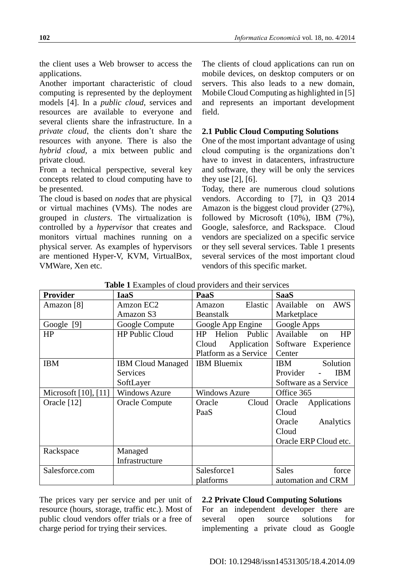the client uses a Web browser to access the applications.

Another important characteristic of cloud computing is represented by the deployment models [4]. In a *public cloud*, services and resources are available to everyone and several clients share the infrastructure. In a *private cloud*, the clients don't share the resources with anyone. There is also the *hybrid cloud*, a mix between public and private cloud.

From a technical perspective, several key concepts related to cloud computing have to be presented.

The cloud is based on *nodes* that are physical or virtual machines (VMs). The nodes are grouped in *clusters*. The virtualization is controlled by a *hypervisor* that creates and monitors virtual machines running on a physical server. As examples of hypervisors are mentioned Hyper-V, KVM, VirtualBox, VMWare, Xen etc.

The clients of cloud applications can run on mobile devices, on desktop computers or on servers. This also leads to a new domain, Mobile Cloud Computing as highlighted in [5] and represents an important development field.

### **2.1 Public Cloud Computing Solutions**

One of the most important advantage of using cloud computing is the organizations don't have to invest in datacenters, infrastructure and software, they will be only the services they use [2], [6].

Today, there are numerous cloud solutions vendors. According to [7], in Q3 2014 Amazon is the biggest cloud provider (27%), followed by Microsoft (10%), IBM (7%), Google, salesforce, and Rackspace. Cloud vendors are specialized on a specific service or they sell several services. Table 1 presents several services of the most important cloud vendors of this specific market.

| <b>Provider</b>      | <b>IaaS</b>              | PaaS                  | <b>SaaS</b>                      |  |
|----------------------|--------------------------|-----------------------|----------------------------------|--|
| Amazon [8]           | Amzon EC2                | Elastic<br>Amazon     | Available<br><b>AWS</b><br>on    |  |
|                      | Amazon S3                | <b>Beanstalk</b>      | Marketplace                      |  |
| Google [9]           | Google Compute           | Google App Engine     | Google Apps                      |  |
| HP                   | <b>HP Public Cloud</b>   | Helion Public<br>HP   | Available<br>HP<br><sub>on</sub> |  |
|                      |                          | Application<br>Cloud  | Software Experience              |  |
|                      |                          | Platform as a Service | Center                           |  |
| <b>IBM</b>           | <b>IBM Cloud Managed</b> | <b>IBM Bluemix</b>    | Solution<br><b>IBM</b>           |  |
|                      | <b>Services</b>          |                       | Provider<br><b>IBM</b>           |  |
|                      | SoftLayer                |                       | Software as a Service            |  |
| Microsoft [10], [11] | <b>Windows Azure</b>     | <b>Windows Azure</b>  | Office 365                       |  |
| Oracle [12]          | <b>Oracle Compute</b>    | Oracle<br>Cloud       | Oracle<br>Applications           |  |
|                      |                          | PaaS                  | Cloud                            |  |
|                      |                          |                       | Oracle<br>Analytics              |  |
|                      |                          |                       | Cloud                            |  |
|                      |                          |                       | Oracle ERP Cloud etc.            |  |
| Rackspace            | Managed                  |                       |                                  |  |
|                      | Infrastructure           |                       |                                  |  |
| Salesforce.com       |                          | Salesforce1           | <b>Sales</b><br>force            |  |
|                      |                          | platforms             | automation and CRM               |  |

|  |  |  |  |  | Table 1 Examples of cloud providers and their services |  |  |  |
|--|--|--|--|--|--------------------------------------------------------|--|--|--|
|--|--|--|--|--|--------------------------------------------------------|--|--|--|

The prices vary per service and per unit of resource (hours, storage, traffic etc.). Most of public cloud vendors offer trials or a free of charge period for trying their services.

#### **2.2 Private Cloud Computing Solutions**

For an independent developer there are several open source solutions for implementing a private cloud as Google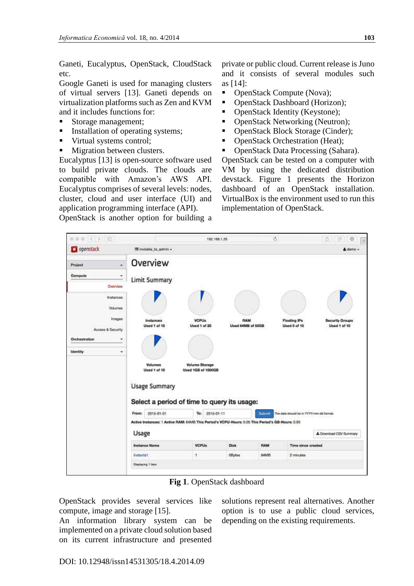Ganeti, Eucalyptus, OpenStack, CloudStack etc.

Google Ganeti is used for managing clusters of virtual servers [13]. Ganeti depends on virtualization platforms such as Zen and KVM and it includes functions for:

- Storage management;
- Installation of operating systems;
- Virtual systems control;
- **Migration between clusters.**

Eucalyptus [13] is open-source software used to build private clouds. The clouds are compatible with Amazon's AWS API. Eucalyptus comprises of several levels: nodes, cluster, cloud and user interface (UI) and application programming interface (API).

OpenStack is another option for building a

private or public cloud. Current release is Juno and it consists of several modules such as [14]:

- OpenStack Compute (Nova);
- OpenStack Dashboard (Horizon);
- OpenStack Identity (Keystone);
- OpenStack Networking (Neutron);
- OpenStack Block Storage (Cinder);
- OpenStack Orchestration (Heat);
- OpenStack Data Processing (Sahara).

OpenStack can be tested on a computer with VM by using the dedicated distribution devstack. Figure 1 presents the Horizon dashboard of an OpenStack installation. VirtualBox is the environment used to run this implementation of OpenStack.

| 000101                    |                                                                                                  | 192.168.1.25                                |                   | Ć                  |                                          | ô<br>中<br>$\theta$<br>l i |  |  |  |
|---------------------------|--------------------------------------------------------------------------------------------------|---------------------------------------------|-------------------|--------------------|------------------------------------------|---------------------------|--|--|--|
| openstack                 | <b>Rinvisible to admin -</b>                                                                     |                                             |                   |                    |                                          | $\triangle$ demo $=$      |  |  |  |
| $\lambda$<br>Project      | Overview                                                                                         |                                             |                   |                    |                                          |                           |  |  |  |
| Compute<br>$\overline{a}$ |                                                                                                  |                                             |                   |                    |                                          |                           |  |  |  |
| Overview                  | <b>Limit Summary</b>                                                                             |                                             |                   |                    |                                          |                           |  |  |  |
| Instances                 |                                                                                                  |                                             |                   |                    |                                          |                           |  |  |  |
| Volumes.                  |                                                                                                  |                                             |                   |                    |                                          |                           |  |  |  |
| Images                    | Instances                                                                                        | <b>VCPUs</b>                                | RAM               |                    | Floating IPs                             | <b>Security Groups</b>    |  |  |  |
| Access & Security         | Used 1 of 10                                                                                     | Used 1 of 20                                | Used 64MB of 50GB |                    | Used 0 of 10                             | Used 1 of 10              |  |  |  |
| Orchestration<br>٠        |                                                                                                  |                                             |                   |                    |                                          |                           |  |  |  |
| <b>Identity</b><br>۳      |                                                                                                  |                                             |                   |                    |                                          |                           |  |  |  |
|                           |                                                                                                  |                                             |                   |                    |                                          |                           |  |  |  |
|                           | Volumes<br>Used 1 of 10                                                                          | <b>Volume Storage</b><br>Used 1GB of 1000GB |                   |                    |                                          |                           |  |  |  |
|                           |                                                                                                  |                                             |                   |                    |                                          |                           |  |  |  |
|                           | <b>Usage Summary</b>                                                                             |                                             |                   |                    |                                          |                           |  |  |  |
|                           |                                                                                                  | Select a period of time to query its usage: |                   |                    |                                          |                           |  |  |  |
|                           | 2015-01-01<br>From:                                                                              | 2015-01-11<br>To:                           |                   | <b>Submt</b>       | The date should be in YYYY-mm-dd format. |                           |  |  |  |
|                           | Active Instances: 1 Active RAM: 64MB This Period's VCPU-Hours: 0.05 This Period's GB-Hours: 0.00 |                                             |                   |                    |                                          |                           |  |  |  |
|                           | Usage                                                                                            |                                             |                   |                    |                                          | & Download CSV Summary    |  |  |  |
|                           | <b>Instance Name</b>                                                                             | <b>VCPUs</b><br>Disk<br>RAM                 |                   | Time since created |                                          |                           |  |  |  |
|                           | <b>Instanta1</b>                                                                                 | 1                                           | <b>OBytes</b>     | 64MB               | 2 minutes                                |                           |  |  |  |
|                           | Displaying 1 Hem                                                                                 |                                             |                   |                    |                                          |                           |  |  |  |

**Fig 1**. OpenStack dashboard

OpenStack provides several services like compute, image and storage [15].

An information library system can be implemented on a private cloud solution based on its current infrastructure and presented

solutions represent real alternatives. Another option is to use a public cloud services, depending on the existing requirements.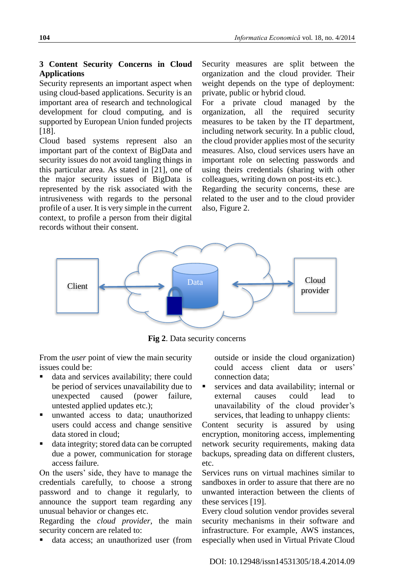## **3 Content Security Concerns in Cloud Applications**

Security represents an important aspect when using cloud-based applications. Security is an important area of research and technological development for cloud computing, and is supported by European Union funded projects [18].

Cloud based systems represent also an important part of the context of BigData and security issues do not avoid tangling things in this particular area. As stated in [21], one of the major security issues of BigData is represented by the risk associated with the intrusiveness with regards to the personal profile of a user. It is very simple in the current context, to profile a person from their digital records without their consent.

Security measures are split between the organization and the cloud provider. Their weight depends on the type of deployment: private, public or hybrid cloud.

For a private cloud managed by the organization, all the required security measures to be taken by the IT department, including network security. In a public cloud, the cloud provider applies most of the security measures. Also, cloud services users have an important role on selecting passwords and using theirs credentials (sharing with other colleagues, writing down on post-its etc.).

Regarding the security concerns, these are related to the user and to the cloud provider also, Figure 2.



**Fig 2**. Data security concerns

From the *user* point of view the main security issues could be:

- data and services availability; there could be period of services unavailability due to unexpected caused (power failure, untested applied updates etc.);
- unwanted access to data; unauthorized users could access and change sensitive data stored in cloud;
- data integrity; stored data can be corrupted due a power, communication for storage access failure.

On the users' side, they have to manage the credentials carefully, to choose a strong password and to change it regularly, to announce the support team regarding any unusual behavior or changes etc.

Regarding the *cloud provider*, the main security concern are related to:

data access; an unauthorized user (from

outside or inside the cloud organization) could access client data or users' connection data;

 services and data availability; internal or external causes could lead to unavailability of the cloud provider's services, that leading to unhappy clients:

Content security is assured by using encryption, monitoring access, implementing network security requirements, making data backups, spreading data on different clusters, etc.

Services runs on virtual machines similar to sandboxes in order to assure that there are no unwanted interaction between the clients of these services [19].

Every cloud solution vendor provides several security mechanisms in their software and infrastructure. For example, AWS instances, especially when used in Virtual Private Cloud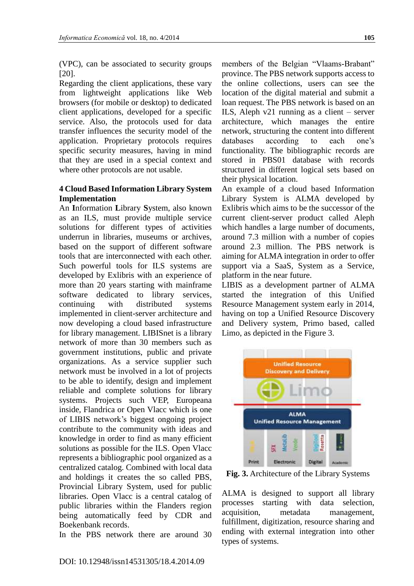(VPC), can be associated to security groups [20].

Regarding the client applications, these vary from lightweight applications like Web browsers (for mobile or desktop) to dedicated client applications, developed for a specific service. Also, the protocols used for data transfer influences the security model of the application. Proprietary protocols requires specific security measures, having in mind that they are used in a special context and where other protocols are not usable.

#### **4 Cloud Based Information Library System Implementation**

An **I**nformation **L**ibrary **S**ystem, also known as an ILS, must provide multiple service solutions for different types of activities underrun in libraries, museums or archives, based on the support of different software tools that are interconnected with each other. Such powerful tools for ILS systems are developed by Exlibris with an experience of more than 20 years starting with mainframe software dedicated to library services, continuing with distributed systems implemented in client-server architecture and now developing a cloud based infrastructure for library management. LIBISnet is a library network of more than 30 members such as government institutions, public and private organizations. As a service supplier such network must be involved in a lot of projects to be able to identify, design and implement reliable and complete solutions for library systems. Projects such VEP, Europeana inside, Flandrica or Open Vlacc which is one of LIBIS network's biggest ongoing project contribute to the community with ideas and knowledge in order to find as many efficient solutions as possible for the ILS. Open Vlacc represents a bibliographic pool organized as a centralized catalog. Combined with local data and holdings it creates the so called PBS, Provincial Library System, used for public libraries. Open Vlacc is a central catalog of public libraries within the Flanders region being automatically feed by CDR and Boekenbank records.

In the PBS network there are around 30

members of the Belgian "Vlaams-Brabant" province. The PBS network supports access to the online collections, users can see the location of the digital material and submit a loan request. The PBS network is based on an ILS, Aleph v21 running as a client – server architecture, which manages the entire network, structuring the content into different databases according to each one's functionality. The bibliographic records are stored in PBS01 database with records structured in different logical sets based on their physical location.

An example of a cloud based Information Library System is ALMA developed by Exlibris which aims to be the successor of the current client-server product called Aleph which handles a large number of documents, around 7.3 million with a number of copies around 2.3 million. The PBS network is aiming for ALMA integration in order to offer support via a SaaS, System as a Service, platform in the near future.

LIBIS as a development partner of ALMA started the integration of this Unified Resource Management system early in 2014, having on top a Unified Resource Discovery and Delivery system, Primo based, called Limo, as depicted in the Figure 3.



**Fig. 3.** Architecture of the Library Systems

ALMA is designed to support all library processes starting with data selection, acquisition, metadata management, fulfillment, digitization, resource sharing and ending with external integration into other types of systems.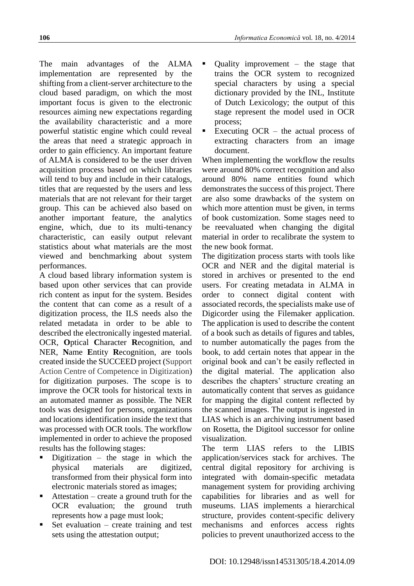The main advantages of the ALMA implementation are represented by the shifting from a client-server architecture to the cloud based paradigm, on which the most important focus is given to the electronic resources aiming new expectations regarding the availability characteristic and a more powerful statistic engine which could reveal the areas that need a strategic approach in order to gain efficiency. An important feature of ALMA is considered to be the user driven acquisition process based on which libraries will tend to buy and include in their catalogs, titles that are requested by the users and less materials that are not relevant for their target group. This can be achieved also based on another important feature, the analytics engine, which, due to its multi-tenancy characteristic, can easily output relevant statistics about what materials are the most viewed and benchmarking about system performances.

A cloud based library information system is based upon other services that can provide rich content as input for the system. Besides the content that can come as a result of a digitization process, the ILS needs also the related metadata in order to be able to described the electronically ingested material. OCR, **O**ptical **C**haracter **R**ecognition, and NER, **N**ame **E**ntity **R**ecognition, are tools created inside the SUCCEED project (Support Action Centre of Competence in Digitization) for digitization purposes. The scope is to improve the OCR tools for historical texts in an automated manner as possible. The NER tools was designed for persons, organizations and locations identification inside the text that was processed with OCR tools. The workflow implemented in order to achieve the proposed results has the following stages:

- $\blacksquare$  Digitization the stage in which the physical materials are digitized, transformed from their physical form into electronic materials stored as images;
- Attestation create a ground truth for the OCR evaluation; the ground truth represents how a page must look;
- Set evaluation create training and test sets using the attestation output;
- Quality improvement the stage that trains the OCR system to recognized special characters by using a special dictionary provided by the INL, Institute of Dutch Lexicology; the output of this stage represent the model used in OCR process;
- Executing OCR the actual process of extracting characters from an image document.

When implementing the workflow the results were around 80% correct recognition and also around 80% name entities found which demonstrates the success of this project. There are also some drawbacks of the system on which more attention must be given, in terms of book customization. Some stages need to be reevaluated when changing the digital material in order to recalibrate the system to the new book format.

The digitization process starts with tools like OCR and NER and the digital material is stored in archives or presented to the end users. For creating metadata in ALMA in order to connect digital content with associated records, the specialists make use of Digicorder using the Filemaker application. The application is used to describe the content of a book such as details of figures and tables, to number automatically the pages from the book, to add certain notes that appear in the original book and can't be easily reflected in the digital material. The application also describes the chapters' structure creating an automatically content that serves as guidance for mapping the digital content reflected by the scanned images. The output is ingested in LIAS which is an archiving instrument based on Rosetta, the Digitool successor for online visualization.

The term LIAS refers to the LIBIS application/services stack for archives. The central digital repository for archiving is integrated with domain-specific metadata management system for providing archiving capabilities for libraries and as well for museums. LIAS implements a hierarchical structure, provides content-specific delivery mechanisms and enforces access rights policies to prevent unauthorized access to the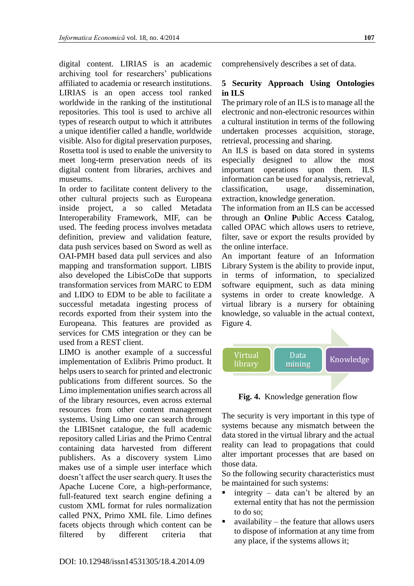digital content. LIRIAS is an academic archiving tool for researchers' publications affiliated to academia or research institutions. LIRIAS is an open access tool ranked worldwide in the ranking of the institutional repositories. This tool is used to archive all types of research output to which it attributes a unique identifier called a handle, worldwide visible. Also for digital preservation purposes, Rosetta tool is used to enable the university to meet long-term preservation needs of its digital content from libraries, archives and museums.

In order to facilitate content delivery to the other cultural projects such as Europeana inside project, a so called Metadata Interoperability Framework, MIF, can be used. The feeding process involves metadata definition, preview and validation feature, data push services based on Sword as well as OAI-PMH based data pull services and also mapping and transformation support. LIBIS also developed the LibisCoDe that supports transformation services from MARC to EDM and LIDO to EDM to be able to facilitate a successful metadata ingesting process of records exported from their system into the Europeana. This features are provided as services for CMS integration or they can be used from a REST client.

LIMO is another example of a successful implementation of Exlibris Primo product. It helps users to search for printed and electronic publications from different sources. So the Limo implementation unifies search across all of the library resources, even across external resources from other content management systems. Using Limo one can search through the LIBISnet catalogue, the full academic repository called Lirias and the Primo Central containing data harvested from different publishers. As a discovery system Limo makes use of a simple user interface which doesn't affect the user search query. It uses the Apache Lucene Core, a high-performance, full-featured text search engine defining a custom XML format for rules normalization called PNX, Primo XML file. Limo defines facets objects through which content can be filtered by different criteria that

comprehensively describes a set of data.

## **5 Security Approach Using Ontologies in ILS**

The primary role of an ILS is to manage all the electronic and non-electronic resources within a cultural institution in terms of the following undertaken processes acquisition, storage, retrieval, processing and sharing.

An ILS is based on data stored in systems especially designed to allow the most important operations upon them. ILS information can be used for analysis, retrieval, classification, usage, dissemination, extraction, knowledge generation.

The information from an ILS can be accessed through an **O**nline **P**ublic **A**ccess **C**atalog, called OPAC which allows users to retrieve, filter, save or export the results provided by the online interface.

An important feature of an Information Library System is the ability to provide input, in terms of information, to specialized software equipment, such as data mining systems in order to create knowledge. A virtual library is a nursery for obtaining knowledge, so valuable in the actual context, Figure 4.



**Fig. 4.** Knowledge generation flow

The security is very important in this type of systems because any mismatch between the data stored in the virtual library and the actual reality can lead to propagations that could alter important processes that are based on those data.

So the following security characteristics must be maintained for such systems:

- integrity data can't be altered by an external entity that has not the permission to do so;
- availability the feature that allows users to dispose of information at any time from any place, if the systems allows it;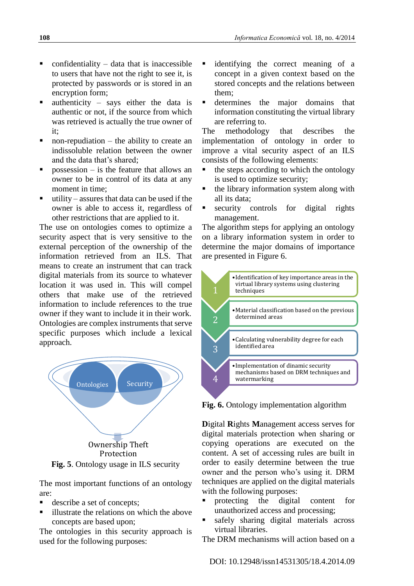- confidentiality data that is inaccessible to users that have not the right to see it, is protected by passwords or is stored in an encryption form;
- authenticity says either the data is authentic or not, if the source from which was retrieved is actually the true owner of it;
- non-repudiation the ability to create an indissoluble relation between the owner and the data that's shared;
- possession is the feature that allows an owner to be in control of its data at any moment in time;
- utility assures that data can be used if the owner is able to access it, regardless of other restrictions that are applied to it.

The use on ontologies comes to optimize a security aspect that is very sensitive to the external perception of the ownership of the information retrieved from an ILS. That means to create an instrument that can track digital materials from its source to whatever location it was used in. This will compel others that make use of the retrieved information to include references to the true owner if they want to include it in their work. Ontologies are complex instruments that serve specific purposes which include a lexical approach.



**Fig. 5**. Ontology usage in ILS security

The most important functions of an ontology are:

- describe a set of concepts;
- Illustrate the relations on which the above concepts are based upon;

The ontologies in this security approach is used for the following purposes:

- identifying the correct meaning of a concept in a given context based on the stored concepts and the relations between them;
- determines the major domains that information constituting the virtual library are referring to.

The methodology that describes the implementation of ontology in order to improve a vital security aspect of an ILS consists of the following elements:

- the steps according to which the ontology is used to optimize security;
- the library information system along with all its data;
- security controls for digital rights management.

The algorithm steps for applying an ontology on a library information system in order to determine the major domains of importance are presented in Figure 6.





**D**igital **R**ights **M**anagement access serves for digital materials protection when sharing or copying operations are executed on the content. A set of accessing rules are built in order to easily determine between the true owner and the person who's using it. DRM techniques are applied on the digital materials with the following purposes:

- protecting the digital content for unauthorized access and processing;
- safely sharing digital materials across virtual libraries.

The DRM mechanisms will action based on a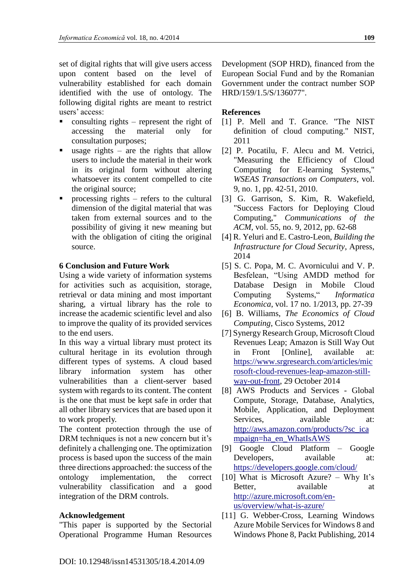set of digital rights that will give users access upon content based on the level of vulnerability established for each domain identified with the use of ontology. The following digital rights are meant to restrict users' access:

- consulting rights represent the right of accessing the material only for consultation purposes;
- usage rights are the rights that allow users to include the material in their work in its original form without altering whatsoever its content compelled to cite the original source;
- processing rights refers to the cultural dimension of the digital material that was taken from external sources and to the possibility of giving it new meaning but with the obligation of citing the original source.

## **6 Conclusion and Future Work**

Using a wide variety of information systems for activities such as acquisition, storage, retrieval or data mining and most important sharing, a virtual library has the role to increase the academic scientific level and also to improve the quality of its provided services to the end users.

In this way a virtual library must protect its cultural heritage in its evolution through different types of systems. A cloud based library information system has other vulnerabilities than a client-server based system with regards to its content. The content is the one that must be kept safe in order that all other library services that are based upon it to work properly.

The content protection through the use of DRM techniques is not a new concern but it's definitely a challenging one. The optimization process is based upon the success of the main three directions approached: the success of the ontology implementation, the correct vulnerability classification and a good integration of the DRM controls.

#### **Acknowledgement**

"This paper is supported by the Sectorial Operational Programme Human Resources Development (SOP HRD), financed from the European Social Fund and by the Romanian Government under the contract number SOP HRD/159/1.5/S/136077".

#### **References**

- [1] P. Mell and T. Grance. "The NIST definition of cloud computing." NIST, 2011
- [2] P. Pocatilu, F. Alecu and M. Vetrici, "Measuring the Efficiency of Cloud Computing for E-learning Systems," *WSEAS Transactions on Computers*, vol. 9, no. 1, pp. 42-51, 2010.
- [3] G. Garrison, S. Kim, R. Wakefield, "Success Factors for Deploying Cloud Computing," *Communications of the ACM*, vol. 55, no. 9, 2012, pp. 62-68
- [4] R. Yeluri and E. Castro-Leon, *Building the Infrastructure for Cloud Security*, Apress, 2014
- [5] S. C. Popa, M. C. Avornicului and V. P. Besfelean, "Using AMDD method for Database Design in Mobile Cloud Computing Systems," *Informatica Economica*, vol. 17 no. 1/2013, pp. 27-39
- [6] B. Williams, *The Economics of Cloud Computing*, Cisco Systems, 2012
- [7] Synergy Research Group, Microsoft Cloud Revenues Leap; Amazon is Still Way Out in Front [Online], available at: [https://www.srgresearch.com/articles/mic](https://www.srgresearch.com/articles/microsoft-cloud-revenues-leap-amazon-still-way-out-front) [rosoft-cloud-revenues-leap-amazon-still](https://www.srgresearch.com/articles/microsoft-cloud-revenues-leap-amazon-still-way-out-front)[way-out-front,](https://www.srgresearch.com/articles/microsoft-cloud-revenues-leap-amazon-still-way-out-front) 29 October 2014
- [8] AWS Products and Services Global Compute, Storage, Database, Analytics, Mobile, Application, and Deployment Services. available at: [http://aws.amazon.com/products/?sc\\_ica](http://aws.amazon.com/products/?sc_icampaign=ha_en_WhatIsAWS) [mpaign=ha\\_en\\_WhatIsAWS](http://aws.amazon.com/products/?sc_icampaign=ha_en_WhatIsAWS)
- [9] Google Cloud Platform Google Developers, available at: <https://developers.google.com/cloud/>
- [10] What is Microsoft Azure? Why It's Better, available at [http://azure.microsoft.com/en](http://azure.microsoft.com/en-us/overview/what-is-azure/)[us/overview/what-is-azure/](http://azure.microsoft.com/en-us/overview/what-is-azure/)
- [11] G. Webber-Cross, Learning Windows Azure Mobile Services for Windows 8 and Windows Phone 8, Packt Publishing, 2014